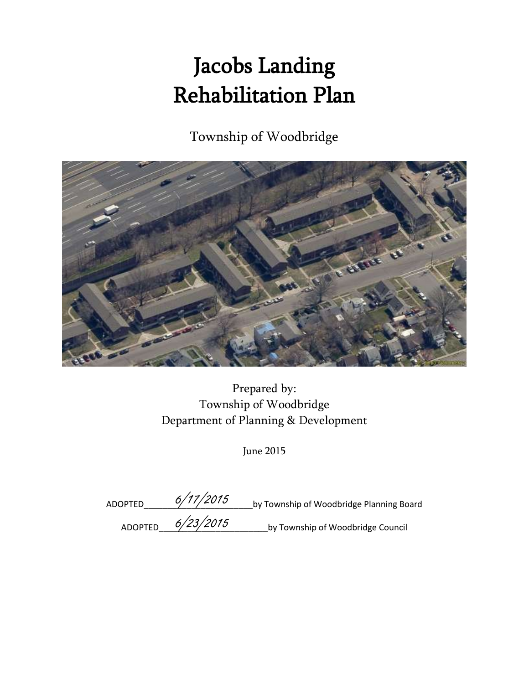# Jacobs Landing Rehabilitation Plan

Township of Woodbridge



Prepared by: Township of Woodbridge Department of Planning & Development

June 2015

| ADOPTED        | 6/17/2015 | by Township of Woodbridge Planning Board |
|----------------|-----------|------------------------------------------|
| <b>ADOPTED</b> | 6/23/2015 | by Township of Woodbridge Council        |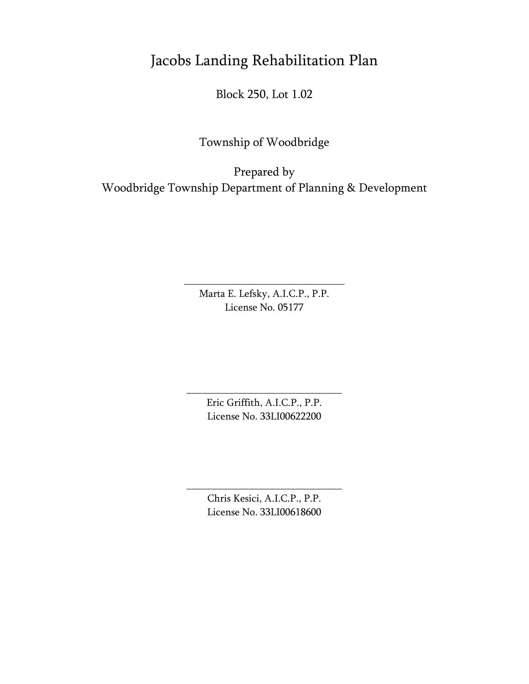## Jacobs Landing Rehabilitation Plan

Block 250, Lot 1.02

Township of Woodbridge

Prepared by Woodbridge Township Department of Planning & Development

> Marta E. Lefsky, A.I.C.P., P.P. License No. 05177

\_\_\_\_\_\_\_\_\_\_\_\_\_\_\_\_\_\_\_\_\_\_\_\_\_\_\_\_\_\_\_

Eric Griffith, A.I.C.P., P.P. License No. 33LI00622200

\_\_\_\_\_\_\_\_\_\_\_\_\_\_\_\_\_\_\_\_\_\_\_\_\_\_\_\_\_\_

Chris Kesici, A.I.C.P., P.P. License No. 33LI00618600

\_\_\_\_\_\_\_\_\_\_\_\_\_\_\_\_\_\_\_\_\_\_\_\_\_\_\_\_\_\_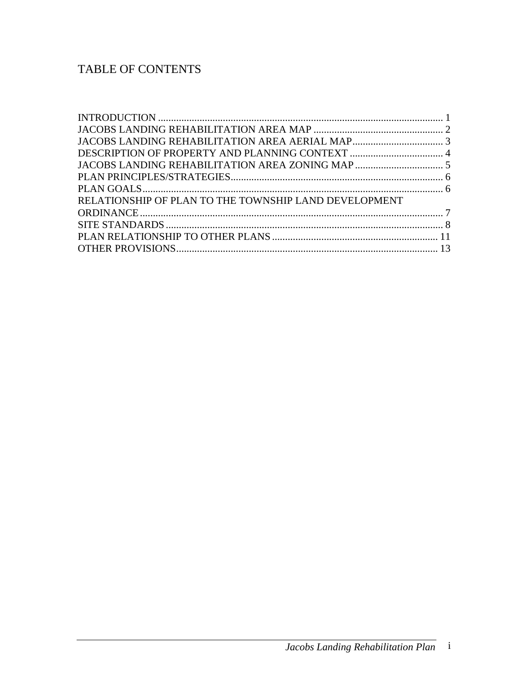### TABLE OF CONTENTS

| RELATIONSHIP OF PLAN TO THE TOWNSHIP LAND DEVELOPMENT |  |
|-------------------------------------------------------|--|
|                                                       |  |
|                                                       |  |
|                                                       |  |
|                                                       |  |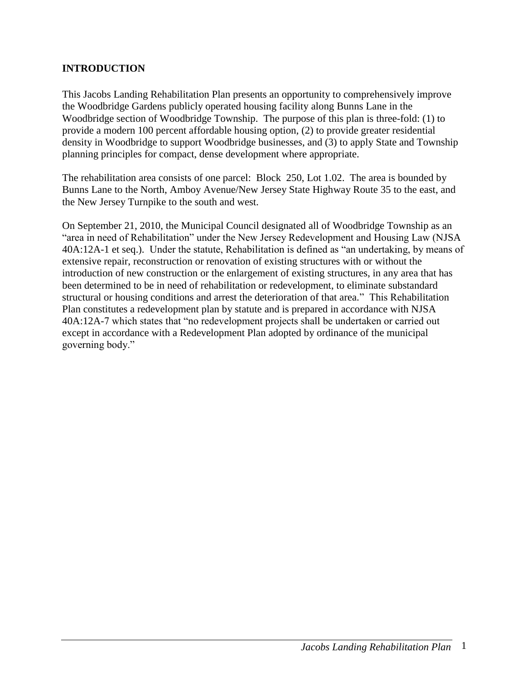#### <span id="page-3-0"></span>**INTRODUCTION**

This Jacobs Landing Rehabilitation Plan presents an opportunity to comprehensively improve the Woodbridge Gardens publicly operated housing facility along Bunns Lane in the Woodbridge section of Woodbridge Township. The purpose of this plan is three-fold: (1) to provide a modern 100 percent affordable housing option, (2) to provide greater residential density in Woodbridge to support Woodbridge businesses, and (3) to apply State and Township planning principles for compact, dense development where appropriate.

The rehabilitation area consists of one parcel: Block 250, Lot 1.02. The area is bounded by Bunns Lane to the North, Amboy Avenue/New Jersey State Highway Route 35 to the east, and the New Jersey Turnpike to the south and west.

On September 21, 2010, the Municipal Council designated all of Woodbridge Township as an "area in need of Rehabilitation" under the New Jersey Redevelopment and Housing Law (NJSA 40A:12A-1 et seq.). Under the statute, Rehabilitation is defined as "an undertaking, by means of extensive repair, reconstruction or renovation of existing structures with or without the introduction of new construction or the enlargement of existing structures, in any area that has been determined to be in need of rehabilitation or redevelopment, to eliminate substandard structural or housing conditions and arrest the deterioration of that area." This Rehabilitation Plan constitutes a redevelopment plan by statute and is prepared in accordance with NJSA 40A:12A-7 which states that "no redevelopment projects shall be undertaken or carried out except in accordance with a Redevelopment Plan adopted by ordinance of the municipal governing body."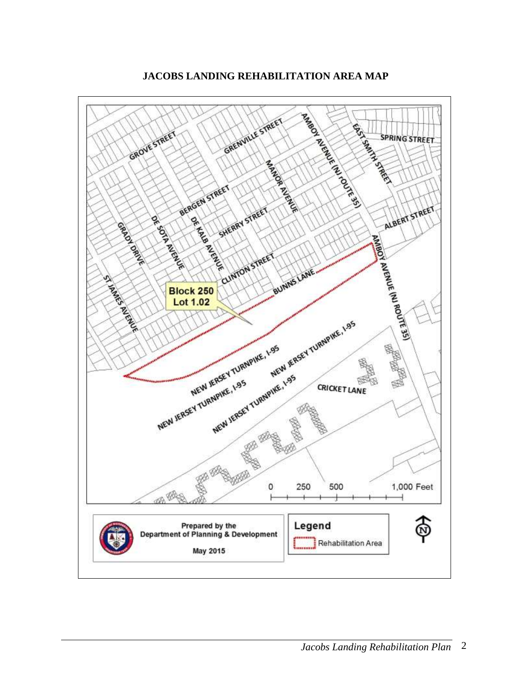

<span id="page-4-0"></span>**JACOBS LANDING REHABILITATION AREA MAP**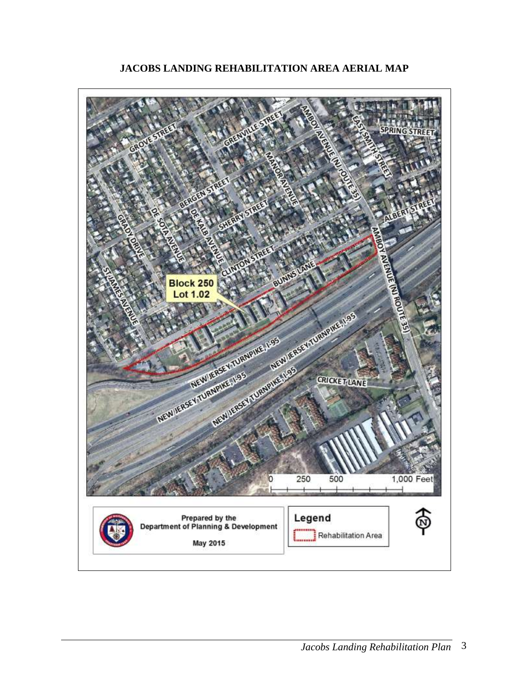<span id="page-5-0"></span>

**JACOBS LANDING REHABILITATION AREA AERIAL MAP**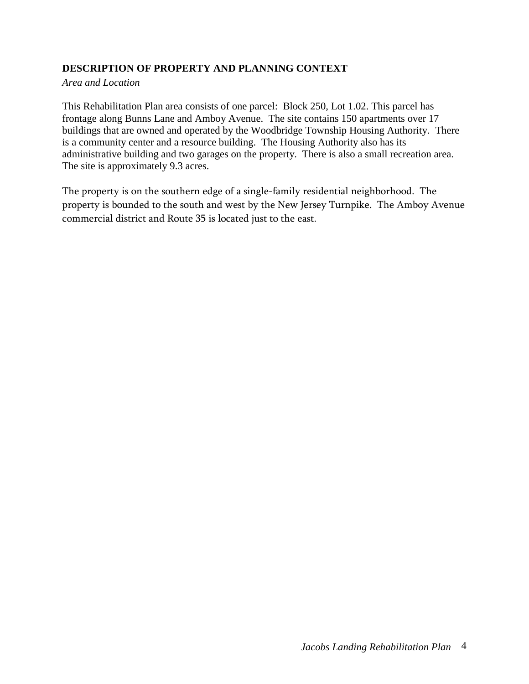#### <span id="page-6-0"></span>**DESCRIPTION OF PROPERTY AND PLANNING CONTEXT**

#### *Area and Location*

This Rehabilitation Plan area consists of one parcel: Block 250, Lot 1.02. This parcel has frontage along Bunns Lane and Amboy Avenue. The site contains 150 apartments over 17 buildings that are owned and operated by the Woodbridge Township Housing Authority. There is a community center and a resource building. The Housing Authority also has its administrative building and two garages on the property. There is also a small recreation area. The site is approximately 9.3 acres.

The property is on the southern edge of a single-family residential neighborhood. The property is bounded to the south and west by the New Jersey Turnpike. The Amboy Avenue commercial district and Route 35 is located just to the east.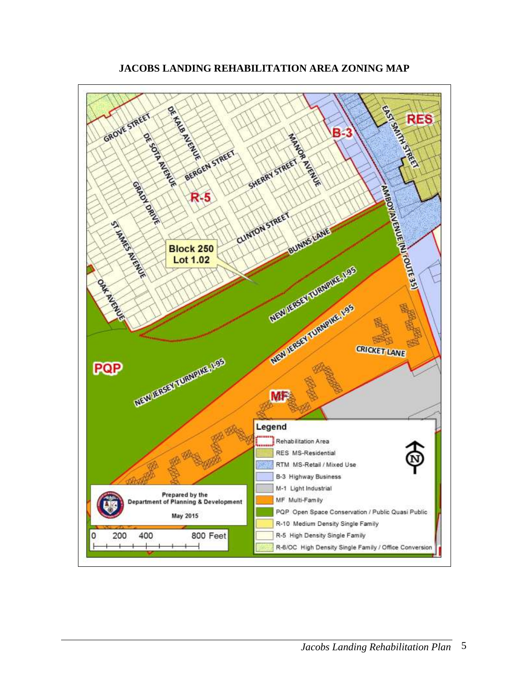<span id="page-7-0"></span>

**JACOBS LANDING REHABILITATION AREA ZONING MAP**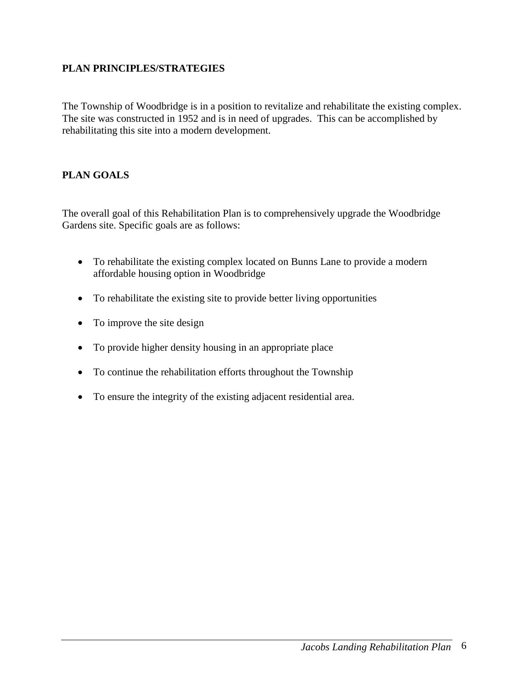#### <span id="page-8-0"></span>**PLAN PRINCIPLES/STRATEGIES**

The Township of Woodbridge is in a position to revitalize and rehabilitate the existing complex. The site was constructed in 1952 and is in need of upgrades. This can be accomplished by rehabilitating this site into a modern development.

#### <span id="page-8-1"></span>**PLAN GOALS**

The overall goal of this Rehabilitation Plan is to comprehensively upgrade the Woodbridge Gardens site. Specific goals are as follows:

- To rehabilitate the existing complex located on Bunns Lane to provide a modern affordable housing option in Woodbridge
- To rehabilitate the existing site to provide better living opportunities
- To improve the site design
- To provide higher density housing in an appropriate place
- To continue the rehabilitation efforts throughout the Township
- To ensure the integrity of the existing adjacent residential area.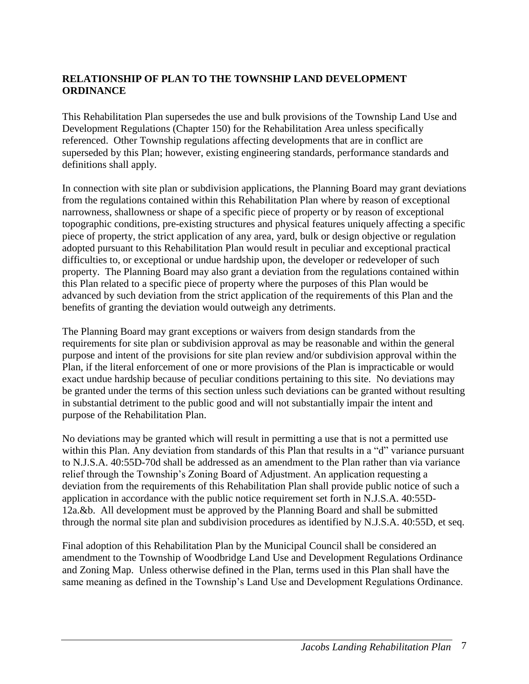#### <span id="page-9-0"></span>**RELATIONSHIP OF PLAN TO THE TOWNSHIP LAND DEVELOPMENT ORDINANCE**

This Rehabilitation Plan supersedes the use and bulk provisions of the Township Land Use and Development Regulations (Chapter 150) for the Rehabilitation Area unless specifically referenced. Other Township regulations affecting developments that are in conflict are superseded by this Plan; however, existing engineering standards, performance standards and definitions shall apply.

In connection with site plan or subdivision applications, the Planning Board may grant deviations from the regulations contained within this Rehabilitation Plan where by reason of exceptional narrowness, shallowness or shape of a specific piece of property or by reason of exceptional topographic conditions, pre-existing structures and physical features uniquely affecting a specific piece of property, the strict application of any area, yard, bulk or design objective or regulation adopted pursuant to this Rehabilitation Plan would result in peculiar and exceptional practical difficulties to, or exceptional or undue hardship upon, the developer or redeveloper of such property. The Planning Board may also grant a deviation from the regulations contained within this Plan related to a specific piece of property where the purposes of this Plan would be advanced by such deviation from the strict application of the requirements of this Plan and the benefits of granting the deviation would outweigh any detriments.

The Planning Board may grant exceptions or waivers from design standards from the requirements for site plan or subdivision approval as may be reasonable and within the general purpose and intent of the provisions for site plan review and/or subdivision approval within the Plan, if the literal enforcement of one or more provisions of the Plan is impracticable or would exact undue hardship because of peculiar conditions pertaining to this site. No deviations may be granted under the terms of this section unless such deviations can be granted without resulting in substantial detriment to the public good and will not substantially impair the intent and purpose of the Rehabilitation Plan.

No deviations may be granted which will result in permitting a use that is not a permitted use within this Plan. Any deviation from standards of this Plan that results in a "d" variance pursuant to N.J.S.A. 40:55D-70d shall be addressed as an amendment to the Plan rather than via variance relief through the Township's Zoning Board of Adjustment. An application requesting a deviation from the requirements of this Rehabilitation Plan shall provide public notice of such a application in accordance with the public notice requirement set forth in N.J.S.A. 40:55D-12a.&b. All development must be approved by the Planning Board and shall be submitted through the normal site plan and subdivision procedures as identified by N.J.S.A. 40:55D, et seq.

Final adoption of this Rehabilitation Plan by the Municipal Council shall be considered an amendment to the Township of Woodbridge Land Use and Development Regulations Ordinance and Zoning Map. Unless otherwise defined in the Plan, terms used in this Plan shall have the same meaning as defined in the Township's Land Use and Development Regulations Ordinance.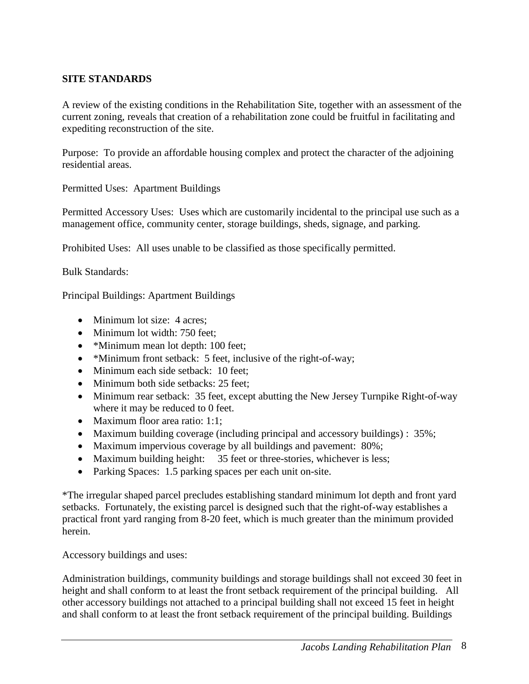#### <span id="page-10-0"></span>**SITE STANDARDS**

A review of the existing conditions in the Rehabilitation Site, together with an assessment of the current zoning, reveals that creation of a rehabilitation zone could be fruitful in facilitating and expediting reconstruction of the site.

Purpose: To provide an affordable housing complex and protect the character of the adjoining residential areas.

Permitted Uses: Apartment Buildings

Permitted Accessory Uses: Uses which are customarily incidental to the principal use such as a management office, community center, storage buildings, sheds, signage, and parking.

Prohibited Uses: All uses unable to be classified as those specifically permitted.

Bulk Standards:

Principal Buildings: Apartment Buildings

- Minimum lot size: 4 acres;
- Minimum lot width: 750 feet:
- \*Minimum mean lot depth: 100 feet;
- \*Minimum front setback: 5 feet, inclusive of the right-of-way;
- Minimum each side setback: 10 feet;
- Minimum both side setbacks: 25 feet;
- Minimum rear setback: 35 feet, except abutting the New Jersey Turnpike Right-of-way where it may be reduced to 0 feet.
- Maximum floor area ratio: 1:1:
- Maximum building coverage (including principal and accessory buildings) : 35%;
- Maximum impervious coverage by all buildings and pavement: 80%;
- Maximum building height: 35 feet or three-stories, whichever is less;
- Parking Spaces: 1.5 parking spaces per each unit on-site.

\*The irregular shaped parcel precludes establishing standard minimum lot depth and front yard setbacks. Fortunately, the existing parcel is designed such that the right-of-way establishes a practical front yard ranging from 8-20 feet, which is much greater than the minimum provided herein.

Accessory buildings and uses:

Administration buildings, community buildings and storage buildings shall not exceed 30 feet in height and shall conform to at least the front setback requirement of the principal building. All other accessory buildings not attached to a principal building shall not exceed 15 feet in height and shall conform to at least the front setback requirement of the principal building. Buildings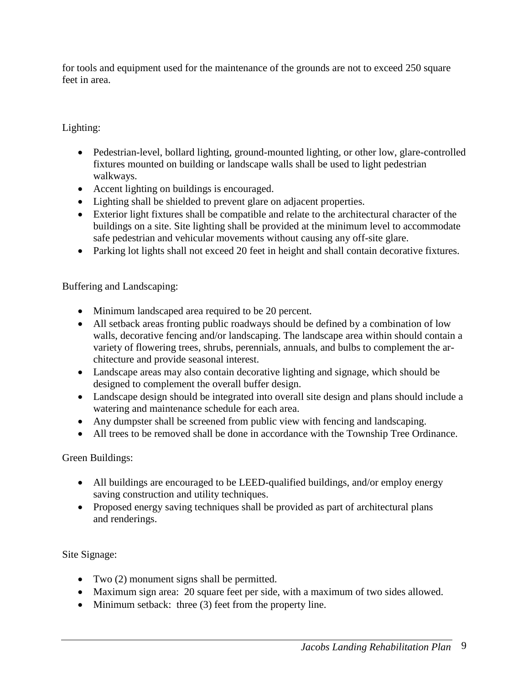for tools and equipment used for the maintenance of the grounds are not to exceed 250 square feet in area.

#### Lighting:

- Pedestrian-level, bollard lighting, ground-mounted lighting, or other low, glare-controlled fixtures mounted on building or landscape walls shall be used to light pedestrian walkways.
- Accent lighting on buildings is encouraged.
- Lighting shall be shielded to prevent glare on adjacent properties.
- Exterior light fixtures shall be compatible and relate to the architectural character of the buildings on a site. Site lighting shall be provided at the minimum level to accommodate safe pedestrian and vehicular movements without causing any off-site glare.
- Parking lot lights shall not exceed 20 feet in height and shall contain decorative fixtures.

Buffering and Landscaping:

- Minimum landscaped area required to be 20 percent.
- All setback areas fronting public roadways should be defined by a combination of low walls, decorative fencing and/or landscaping. The landscape area within should contain a variety of flowering trees, shrubs, perennials, annuals, and bulbs to complement the architecture and provide seasonal interest.
- Landscape areas may also contain decorative lighting and signage, which should be designed to complement the overall buffer design.
- Landscape design should be integrated into overall site design and plans should include a watering and maintenance schedule for each area.
- Any dumpster shall be screened from public view with fencing and landscaping.
- All trees to be removed shall be done in accordance with the Township Tree Ordinance.

#### Green Buildings:

- All buildings are encouraged to be LEED-qualified buildings, and/or employ energy saving construction and utility techniques.
- Proposed energy saving techniques shall be provided as part of architectural plans and renderings.

#### Site Signage:

- Two (2) monument signs shall be permitted.
- Maximum sign area: 20 square feet per side, with a maximum of two sides allowed.
- Minimum setback: three (3) feet from the property line.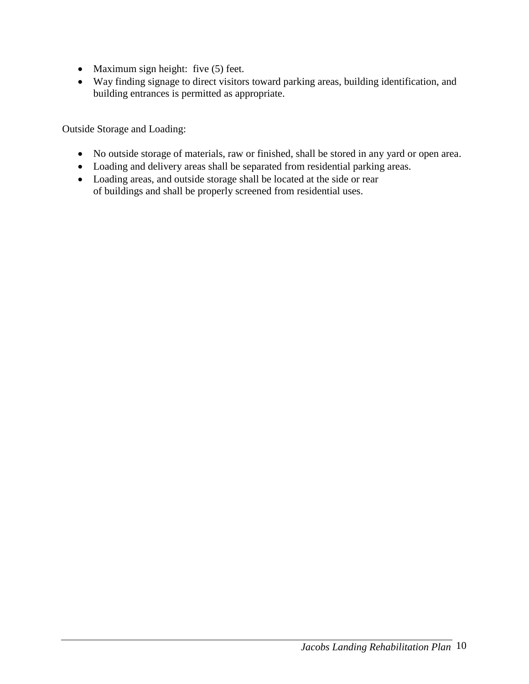- $\bullet$  Maximum sign height: five (5) feet.
- Way finding signage to direct visitors toward parking areas, building identification, and building entrances is permitted as appropriate.

Outside Storage and Loading:

- No outside storage of materials, raw or finished, shall be stored in any yard or open area.
- Loading and delivery areas shall be separated from residential parking areas.
- Loading areas, and outside storage shall be located at the side or rear of buildings and shall be properly screened from residential uses.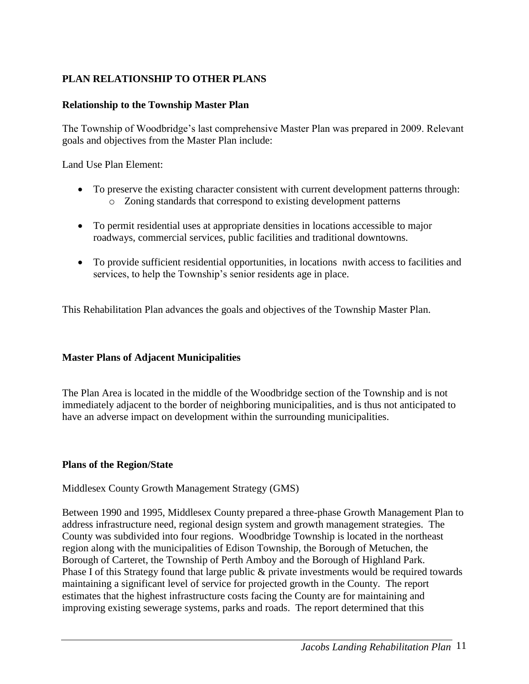#### <span id="page-13-0"></span>**PLAN RELATIONSHIP TO OTHER PLANS**

#### **Relationship to the Township Master Plan**

The Township of Woodbridge's last comprehensive Master Plan was prepared in 2009. Relevant goals and objectives from the Master Plan include:

Land Use Plan Element:

- To preserve the existing character consistent with current development patterns through: o Zoning standards that correspond to existing development patterns
- To permit residential uses at appropriate densities in locations accessible to major roadways, commercial services, public facilities and traditional downtowns.
- To provide sufficient residential opportunities, in locations nwith access to facilities and services, to help the Township's senior residents age in place.

This Rehabilitation Plan advances the goals and objectives of the Township Master Plan.

#### **Master Plans of Adjacent Municipalities**

The Plan Area is located in the middle of the Woodbridge section of the Township and is not immediately adjacent to the border of neighboring municipalities, and is thus not anticipated to have an adverse impact on development within the surrounding municipalities.

#### **Plans of the Region/State**

Middlesex County Growth Management Strategy (GMS)

Between 1990 and 1995, Middlesex County prepared a three-phase Growth Management Plan to address infrastructure need, regional design system and growth management strategies. The County was subdivided into four regions. Woodbridge Township is located in the northeast region along with the municipalities of Edison Township, the Borough of Metuchen, the Borough of Carteret, the Township of Perth Amboy and the Borough of Highland Park. Phase I of this Strategy found that large public & private investments would be required towards maintaining a significant level of service for projected growth in the County. The report estimates that the highest infrastructure costs facing the County are for maintaining and improving existing sewerage systems, parks and roads. The report determined that this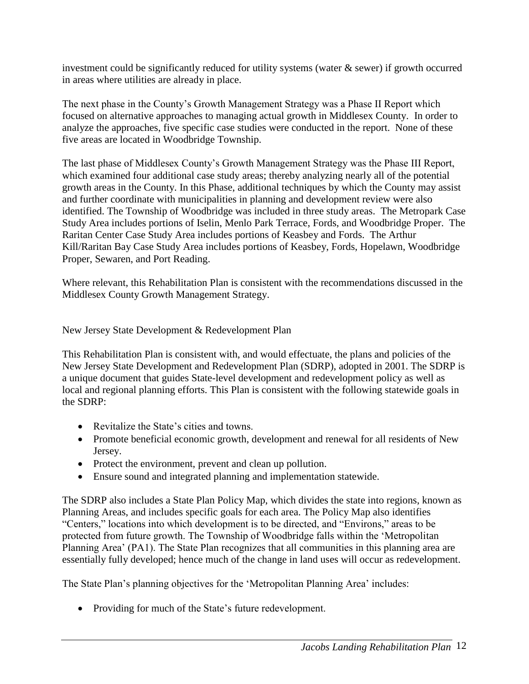investment could be significantly reduced for utility systems (water  $\&$  sewer) if growth occurred in areas where utilities are already in place.

The next phase in the County's Growth Management Strategy was a Phase II Report which focused on alternative approaches to managing actual growth in Middlesex County. In order to analyze the approaches, five specific case studies were conducted in the report. None of these five areas are located in Woodbridge Township.

The last phase of Middlesex County's Growth Management Strategy was the Phase III Report, which examined four additional case study areas; thereby analyzing nearly all of the potential growth areas in the County. In this Phase, additional techniques by which the County may assist and further coordinate with municipalities in planning and development review were also identified. The Township of Woodbridge was included in three study areas. The Metropark Case Study Area includes portions of Iselin, Menlo Park Terrace, Fords, and Woodbridge Proper. The Raritan Center Case Study Area includes portions of Keasbey and Fords. The Arthur Kill/Raritan Bay Case Study Area includes portions of Keasbey, Fords, Hopelawn, Woodbridge Proper, Sewaren, and Port Reading.

Where relevant, this Rehabilitation Plan is consistent with the recommendations discussed in the Middlesex County Growth Management Strategy.

New Jersey State Development & Redevelopment Plan

This Rehabilitation Plan is consistent with, and would effectuate, the plans and policies of the New Jersey State Development and Redevelopment Plan (SDRP), adopted in 2001. The SDRP is a unique document that guides State-level development and redevelopment policy as well as local and regional planning efforts. This Plan is consistent with the following statewide goals in the SDRP:

- Revitalize the State's cities and towns.
- Promote beneficial economic growth, development and renewal for all residents of New Jersey.
- Protect the environment, prevent and clean up pollution.
- Ensure sound and integrated planning and implementation statewide.

The SDRP also includes a State Plan Policy Map, which divides the state into regions, known as Planning Areas, and includes specific goals for each area. The Policy Map also identifies "Centers," locations into which development is to be directed, and "Environs," areas to be protected from future growth. The Township of Woodbridge falls within the 'Metropolitan Planning Area' (PA1). The State Plan recognizes that all communities in this planning area are essentially fully developed; hence much of the change in land uses will occur as redevelopment.

The State Plan's planning objectives for the 'Metropolitan Planning Area' includes:

• Providing for much of the State's future redevelopment.